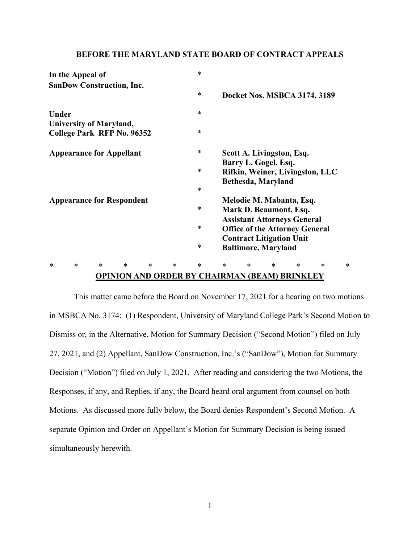#### **BEFORE THE MARYLAND STATE BOARD OF CONTRACT APPEALS**

| In the Appeal of<br><b>SanDow Construction, Inc.</b> |                                |        |        |        | $\ast$                    |                            |        |                                       |        |                                 |        |  |
|------------------------------------------------------|--------------------------------|--------|--------|--------|---------------------------|----------------------------|--------|---------------------------------------|--------|---------------------------------|--------|--|
|                                                      |                                |        |        |        | $\ast$                    |                            |        |                                       |        | Docket Nos. MSBCA 3174, 3189    |        |  |
| <b>Under</b>                                         |                                |        |        |        | $\ast$                    |                            |        |                                       |        |                                 |        |  |
|                                                      | <b>University of Maryland,</b> |        |        |        |                           |                            |        |                                       |        |                                 |        |  |
| College Park RFP No. 96352                           |                                |        |        |        | $\ast$                    |                            |        |                                       |        |                                 |        |  |
| <b>Appearance for Appellant</b>                      |                                |        |        | $\ast$ | Scott A. Livingston, Esq. |                            |        |                                       |        |                                 |        |  |
|                                                      |                                |        |        |        |                           |                            |        | Barry L. Gogel, Esq.                  |        |                                 |        |  |
|                                                      |                                |        |        |        | $\ast$                    |                            |        |                                       |        | Rifkin, Weiner, Livingston, LLC |        |  |
|                                                      |                                |        |        |        |                           |                            |        | Bethesda, Maryland                    |        |                                 |        |  |
|                                                      |                                |        |        |        | $\ast$                    |                            |        |                                       |        |                                 |        |  |
| <b>Appearance for Respondent</b>                     |                                |        |        |        |                           | Melodie M. Mabanta, Esq.   |        |                                       |        |                                 |        |  |
|                                                      |                                |        |        |        | $\ast$                    |                            |        | Mark D. Beaumont, Esq.                |        |                                 |        |  |
|                                                      |                                |        |        |        |                           |                            |        | <b>Assistant Attorneys General</b>    |        |                                 |        |  |
|                                                      |                                |        |        |        | $\ast$                    |                            |        | <b>Office of the Attorney General</b> |        |                                 |        |  |
|                                                      |                                |        |        |        |                           |                            |        | <b>Contract Litigation Unit</b>       |        |                                 |        |  |
|                                                      |                                |        |        |        | $\ast$                    | <b>Baltimore, Maryland</b> |        |                                       |        |                                 |        |  |
| *<br>*                                               | $\ast$                         | $\ast$ | $\ast$ | $\ast$ | $\ast$                    | $\ast$                     | $\ast$ | $\ast$                                | $\ast$ | *                               | $\ast$ |  |

# **OPINION AND ORDER BY CHAIRMAN (BEAM) BRINKLEY**

 This matter came before the Board on November 17, 2021 for a hearing on two motions in MSBCA No. 3174: (1) Respondent, University of Maryland College Park's Second Motion to Dismiss or, in the Alternative, Motion for Summary Decision ("Second Motion") filed on July 27, 2021, and (2) Appellant, SanDow Construction, Inc.'s ("SanDow"), Motion for Summary Decision ("Motion") filed on July 1, 2021. After reading and considering the two Motions, the Responses, if any, and Replies, if any, the Board heard oral argument from counsel on both Motions. As discussed more fully below, the Board denies Respondent's Second Motion. A separate Opinion and Order on Appellant's Motion for Summary Decision is being issued simultaneously herewith.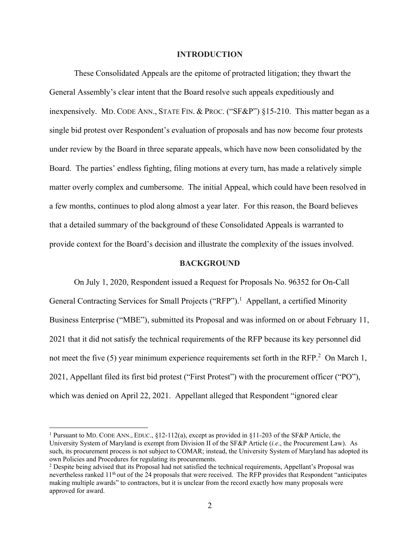#### **INTRODUCTION**

 These Consolidated Appeals are the epitome of protracted litigation; they thwart the General Assembly's clear intent that the Board resolve such appeals expeditiously and inexpensively. MD. CODE ANN., STATE FIN. & PROC. ("SF&P") §15-210. This matter began as a single bid protest over Respondent's evaluation of proposals and has now become four protests under review by the Board in three separate appeals, which have now been consolidated by the Board. The parties' endless fighting, filing motions at every turn, has made a relatively simple matter overly complex and cumbersome. The initial Appeal, which could have been resolved in a few months, continues to plod along almost a year later. For this reason, the Board believes that a detailed summary of the background of these Consolidated Appeals is warranted to provide context for the Board's decision and illustrate the complexity of the issues involved.

#### **BACKGROUND**

 On July 1, 2020, Respondent issued a Request for Proposals No. 96352 for On-Call General Contracting Services for Small Projects ("RFP").<sup>1</sup> Appellant, a certified Minority Business Enterprise ("MBE"), submitted its Proposal and was informed on or about February 11, 2021 that it did not satisfy the technical requirements of the RFP because its key personnel did not meet the five  $(5)$  year minimum experience requirements set forth in the RFP.<sup>2</sup> On March 1, 2021, Appellant filed its first bid protest ("First Protest") with the procurement officer ("PO"), which was denied on April 22, 2021. Appellant alleged that Respondent "ignored clear

<sup>1</sup> Pursuant to MD. CODE ANN., EDUC., §12-112(a), except as provided in §11-203 of the SF&P Article, the University System of Maryland is exempt from Division II of the SF&P Article (*i.e*., the Procurement Law). As such, its procurement process is not subject to COMAR; instead, the University System of Maryland has adopted its own Policies and Procedures for regulating its procurements.

<sup>&</sup>lt;sup>2</sup> Despite being advised that its Proposal had not satisfied the technical requirements, Appellant's Proposal was nevertheless ranked  $11<sup>th</sup>$  out of the 24 proposals that were received. The RFP provides that Respondent "anticipates" making multiple awards" to contractors, but it is unclear from the record exactly how many proposals were approved for award.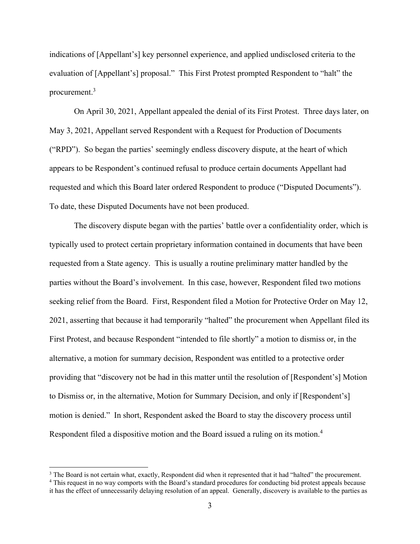indications of [Appellant's] key personnel experience, and applied undisclosed criteria to the evaluation of [Appellant's] proposal." This First Protest prompted Respondent to "halt" the procurement.3

 On April 30, 2021, Appellant appealed the denial of its First Protest. Three days later, on May 3, 2021, Appellant served Respondent with a Request for Production of Documents ("RPD"). So began the parties' seemingly endless discovery dispute, at the heart of which appears to be Respondent's continued refusal to produce certain documents Appellant had requested and which this Board later ordered Respondent to produce ("Disputed Documents"). To date, these Disputed Documents have not been produced.

 The discovery dispute began with the parties' battle over a confidentiality order, which is typically used to protect certain proprietary information contained in documents that have been requested from a State agency. This is usually a routine preliminary matter handled by the parties without the Board's involvement. In this case, however, Respondent filed two motions seeking relief from the Board. First, Respondent filed a Motion for Protective Order on May 12, 2021, asserting that because it had temporarily "halted" the procurement when Appellant filed its First Protest, and because Respondent "intended to file shortly" a motion to dismiss or, in the alternative, a motion for summary decision, Respondent was entitled to a protective order providing that "discovery not be had in this matter until the resolution of [Respondent's] Motion to Dismiss or, in the alternative, Motion for Summary Decision, and only if [Respondent's] motion is denied." In short, Respondent asked the Board to stay the discovery process until Respondent filed a dispositive motion and the Board issued a ruling on its motion.<sup>4</sup>

<sup>&</sup>lt;sup>3</sup> The Board is not certain what, exactly, Respondent did when it represented that it had "halted" the procurement.<br><sup>4</sup> This request in no way comports with the Board's standard procedures for conducting bid protest appe

This request in no way comports with the Board's standard procedures for conducting bid protest appeals because it has the effect of unnecessarily delaying resolution of an appeal. Generally, discovery is available to the parties as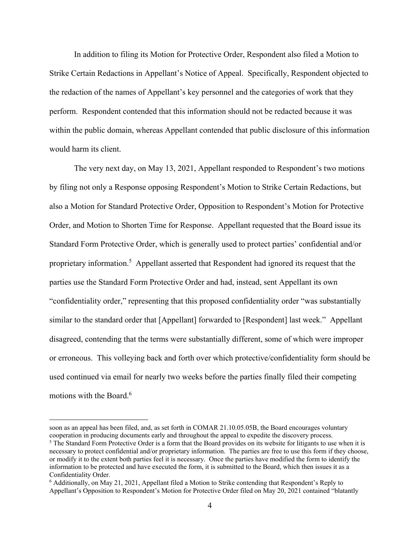In addition to filing its Motion for Protective Order, Respondent also filed a Motion to Strike Certain Redactions in Appellant's Notice of Appeal. Specifically, Respondent objected to the redaction of the names of Appellant's key personnel and the categories of work that they perform. Respondent contended that this information should not be redacted because it was within the public domain, whereas Appellant contended that public disclosure of this information would harm its client.

The very next day, on May 13, 2021, Appellant responded to Respondent's two motions by filing not only a Response opposing Respondent's Motion to Strike Certain Redactions, but also a Motion for Standard Protective Order, Opposition to Respondent's Motion for Protective Order, and Motion to Shorten Time for Response. Appellant requested that the Board issue its Standard Form Protective Order, which is generally used to protect parties' confidential and/or proprietary information.<sup>5</sup> Appellant asserted that Respondent had ignored its request that the parties use the Standard Form Protective Order and had, instead, sent Appellant its own "confidentiality order," representing that this proposed confidentiality order "was substantially similar to the standard order that [Appellant] forwarded to [Respondent] last week." Appellant disagreed, contending that the terms were substantially different, some of which were improper or erroneous. This volleying back and forth over which protective/confidentiality form should be used continued via email for nearly two weeks before the parties finally filed their competing motions with the Board.<sup>6</sup>

soon as an appeal has been filed, and, as set forth in COMAR 21.10.05.05B, the Board encourages voluntary cooperation in producing documents early and throughout the appeal to expedite the discovery process.

 $5$  The Standard Form Protective Order is a form that the Board provides on its website for litigants to use when it is necessary to protect confidential and/or proprietary information. The parties are free to use this form if they choose, or modify it to the extent both parties feel it is necessary. Once the parties have modified the form to identify the information to be protected and have executed the form, it is submitted to the Board, which then issues it as a Confidentiality Order.

<sup>6</sup> Additionally, on May 21, 2021, Appellant filed a Motion to Strike contending that Respondent's Reply to Appellant's Opposition to Respondent's Motion for Protective Order filed on May 20, 2021 contained "blatantly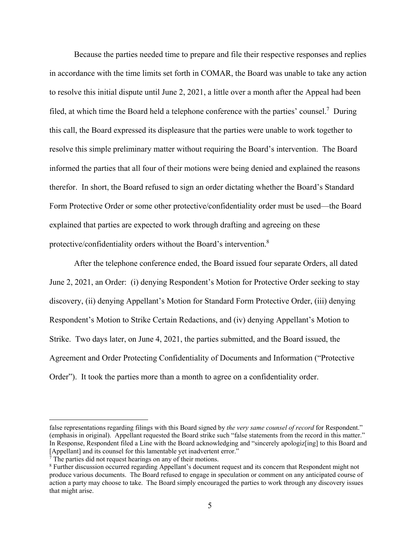Because the parties needed time to prepare and file their respective responses and replies in accordance with the time limits set forth in COMAR, the Board was unable to take any action to resolve this initial dispute until June 2, 2021, a little over a month after the Appeal had been filed, at which time the Board held a telephone conference with the parties' counsel.<sup>7</sup> During this call, the Board expressed its displeasure that the parties were unable to work together to resolve this simple preliminary matter without requiring the Board's intervention. The Board informed the parties that all four of their motions were being denied and explained the reasons therefor. In short, the Board refused to sign an order dictating whether the Board's Standard Form Protective Order or some other protective/confidentiality order must be used—the Board explained that parties are expected to work through drafting and agreeing on these protective/confidentiality orders without the Board's intervention.<sup>8</sup>

After the telephone conference ended, the Board issued four separate Orders, all dated June 2, 2021, an Order: (i) denying Respondent's Motion for Protective Order seeking to stay discovery, (ii) denying Appellant's Motion for Standard Form Protective Order, (iii) denying Respondent's Motion to Strike Certain Redactions, and (iv) denying Appellant's Motion to Strike. Two days later, on June 4, 2021, the parties submitted, and the Board issued, the Agreement and Order Protecting Confidentiality of Documents and Information ("Protective Order"). It took the parties more than a month to agree on a confidentiality order.

false representations regarding filings with this Board signed by *the very same counsel of record* for Respondent." (emphasis in original). Appellant requested the Board strike such "false statements from the record in this matter." In Response, Respondent filed a Line with the Board acknowledging and "sincerely apologiz[ing] to this Board and [Appellant] and its counsel for this lamentable yet inadvertent error."

<sup>7</sup> The parties did not request hearings on any of their motions.

<sup>&</sup>lt;sup>8</sup> Further discussion occurred regarding Appellant's document request and its concern that Respondent might not produce various documents. The Board refused to engage in speculation or comment on any anticipated course of action a party may choose to take. The Board simply encouraged the parties to work through any discovery issues that might arise.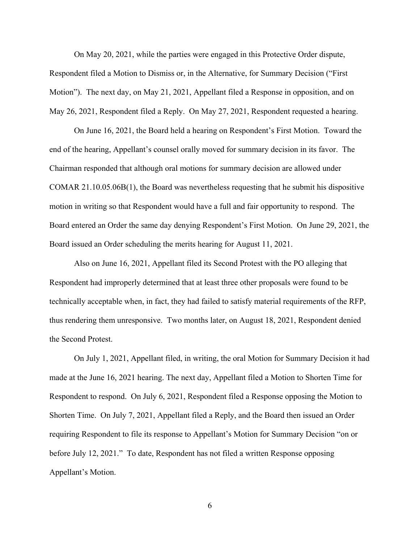On May 20, 2021, while the parties were engaged in this Protective Order dispute, Respondent filed a Motion to Dismiss or, in the Alternative, for Summary Decision ("First Motion"). The next day, on May 21, 2021, Appellant filed a Response in opposition, and on May 26, 2021, Respondent filed a Reply. On May 27, 2021, Respondent requested a hearing.

On June 16, 2021, the Board held a hearing on Respondent's First Motion. Toward the end of the hearing, Appellant's counsel orally moved for summary decision in its favor. The Chairman responded that although oral motions for summary decision are allowed under COMAR 21.10.05.06B(1), the Board was nevertheless requesting that he submit his dispositive motion in writing so that Respondent would have a full and fair opportunity to respond. The Board entered an Order the same day denying Respondent's First Motion. On June 29, 2021, the Board issued an Order scheduling the merits hearing for August 11, 2021.

Also on June 16, 2021, Appellant filed its Second Protest with the PO alleging that Respondent had improperly determined that at least three other proposals were found to be technically acceptable when, in fact, they had failed to satisfy material requirements of the RFP, thus rendering them unresponsive. Two months later, on August 18, 2021, Respondent denied the Second Protest.

On July 1, 2021, Appellant filed, in writing, the oral Motion for Summary Decision it had made at the June 16, 2021 hearing. The next day, Appellant filed a Motion to Shorten Time for Respondent to respond. On July 6, 2021, Respondent filed a Response opposing the Motion to Shorten Time. On July 7, 2021, Appellant filed a Reply, and the Board then issued an Order requiring Respondent to file its response to Appellant's Motion for Summary Decision "on or before July 12, 2021." To date, Respondent has not filed a written Response opposing Appellant's Motion.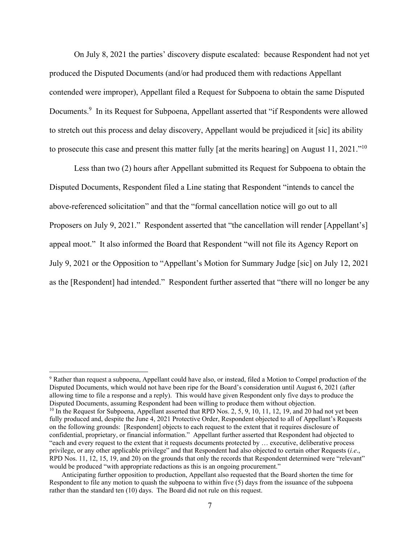On July 8, 2021 the parties' discovery dispute escalated: because Respondent had not yet produced the Disputed Documents (and/or had produced them with redactions Appellant contended were improper), Appellant filed a Request for Subpoena to obtain the same Disputed Documents.<sup>9</sup> In its Request for Subpoena, Appellant asserted that "if Respondents were allowed to stretch out this process and delay discovery, Appellant would be prejudiced it [sic] its ability to prosecute this case and present this matter fully [at the merits hearing] on August 11, 2021."<sup>10</sup>

Less than two (2) hours after Appellant submitted its Request for Subpoena to obtain the Disputed Documents, Respondent filed a Line stating that Respondent "intends to cancel the above-referenced solicitation" and that the "formal cancellation notice will go out to all Proposers on July 9, 2021." Respondent asserted that "the cancellation will render [Appellant's] appeal moot." It also informed the Board that Respondent "will not file its Agency Report on July 9, 2021 or the Opposition to "Appellant's Motion for Summary Judge [sic] on July 12, 2021 as the [Respondent] had intended." Respondent further asserted that "there will no longer be any

<sup>&</sup>lt;sup>9</sup> Rather than request a subpoena, Appellant could have also, or instead, filed a Motion to Compel production of the Disputed Documents, which would not have been ripe for the Board's consideration until August 6, 2021 (after allowing time to file a response and a reply). This would have given Respondent only five days to produce the Disputed Documents, assuming Respondent had been willing to produce them without objection.<br><sup>10</sup> In the Request for Subpoena, Appellant asserted that RPD Nos. 2, 5, 9, 10, 11, 12, 19, and 20 had not yet been fully produced and, despite the June 4, 2021 Protective Order, Respondent objected to all of Appellant's Requests on the following grounds: [Respondent] objects to each request to the extent that it requires disclosure of confidential, proprietary, or financial information." Appellant further asserted that Respondent had objected to "each and every request to the extent that it requests documents protected by … executive, deliberative process privilege, or any other applicable privilege" and that Respondent had also objected to certain other Requests (*i.e*., RPD Nos. 11, 12, 15, 19, and 20) on the grounds that only the records that Respondent determined were "relevant" would be produced "with appropriate redactions as this is an ongoing procurement." Anticipating further opposition to production, Appellant also requested that the Board shorten the time for

Respondent to file any motion to quash the subpoena to within five (5) days from the issuance of the subpoena rather than the standard ten (10) days. The Board did not rule on this request.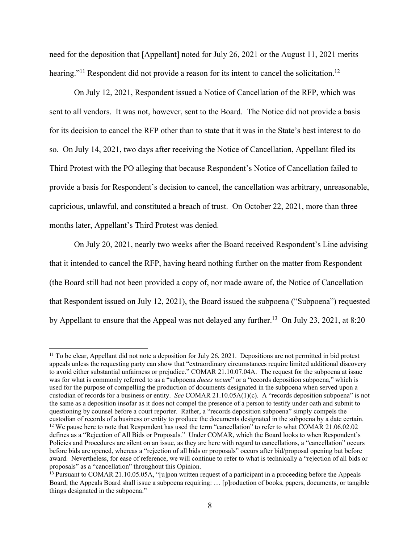need for the deposition that [Appellant] noted for July 26, 2021 or the August 11, 2021 merits hearing."<sup>11</sup> Respondent did not provide a reason for its intent to cancel the solicitation.<sup>12</sup>

On July 12, 2021, Respondent issued a Notice of Cancellation of the RFP, which was sent to all vendors. It was not, however, sent to the Board. The Notice did not provide a basis for its decision to cancel the RFP other than to state that it was in the State's best interest to do so. On July 14, 2021, two days after receiving the Notice of Cancellation, Appellant filed its Third Protest with the PO alleging that because Respondent's Notice of Cancellation failed to provide a basis for Respondent's decision to cancel, the cancellation was arbitrary, unreasonable, capricious, unlawful, and constituted a breach of trust. On October 22, 2021, more than three months later, Appellant's Third Protest was denied.

On July 20, 2021, nearly two weeks after the Board received Respondent's Line advising that it intended to cancel the RFP, having heard nothing further on the matter from Respondent (the Board still had not been provided a copy of, nor made aware of, the Notice of Cancellation that Respondent issued on July 12, 2021), the Board issued the subpoena ("Subpoena") requested by Appellant to ensure that the Appeal was not delayed any further.<sup>13</sup> On July 23, 2021, at 8:20

 $11$  To be clear, Appellant did not note a deposition for July 26, 2021. Depositions are not permitted in bid protest appeals unless the requesting party can show that "extraordinary circumstances require limited additional discovery to avoid either substantial unfairness or prejudice." COMAR 21.10.07.04A. The request for the subpoena at issue was for what is commonly referred to as a "subpoena *duces tecum*" or a "records deposition subpoena," which is used for the purpose of compelling the production of documents designated in the subpoena when served upon a custodian of records for a business or entity. *See* COMAR 21.10.05A(1)(c). A "records deposition subpoena" is not the same as a deposition insofar as it does not compel the presence of a person to testify under oath and submit to questioning by counsel before a court reporter. Rather, a "records deposition subpoena" simply compels the custodian of records of a business or entity to produce the documents designated in the subpoena by a date certain. 12 We pause here to note that Respondent has used the term "cancellation" to refer to what COMAR 21.06.02.02 defines as a "Rejection of All Bids or Proposals." Under COMAR, which the Board looks to when Respondent's Policies and Procedures are silent on an issue, as they are here with regard to cancellations, a "cancellation" occurs before bids are opened, whereas a "rejection of all bids or proposals" occurs after bid/proposal opening but before award. Nevertheless, for ease of reference, we will continue to refer to what is technically a "rejection of all bids or proposals" as a "cancellation" throughout this Opinion.

<sup>&</sup>lt;sup>13</sup> Pursuant to COMAR 21.10.05.05A, "[u]pon written request of a participant in a proceeding before the Appeals Board, the Appeals Board shall issue a subpoena requiring: … [p]roduction of books, papers, documents, or tangible things designated in the subpoena."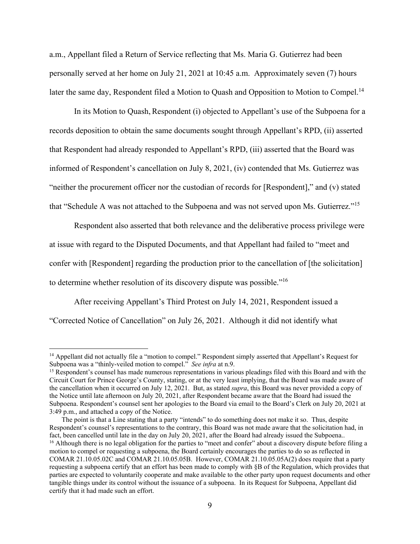a.m., Appellant filed a Return of Service reflecting that Ms. Maria G. Gutierrez had been personally served at her home on July 21, 2021 at 10:45 a.m. Approximately seven (7) hours later the same day, Respondent filed a Motion to Quash and Opposition to Motion to Compel.<sup>14</sup>

In its Motion to Quash, Respondent (i) objected to Appellant's use of the Subpoena for a records deposition to obtain the same documents sought through Appellant's RPD, (ii) asserted that Respondent had already responded to Appellant's RPD, (iii) asserted that the Board was informed of Respondent's cancellation on July 8, 2021, (iv) contended that Ms. Gutierrez was "neither the procurement officer nor the custodian of records for [Respondent]," and (v) stated that "Schedule A was not attached to the Subpoena and was not served upon Ms. Gutierrez."<sup>15</sup>

Respondent also asserted that both relevance and the deliberative process privilege were at issue with regard to the Disputed Documents, and that Appellant had failed to "meet and confer with [Respondent] regarding the production prior to the cancellation of [the solicitation] to determine whether resolution of its discovery dispute was possible."16

After receiving Appellant's Third Protest on July 14, 2021, Respondent issued a "Corrected Notice of Cancellation" on July 26, 2021. Although it did not identify what

<sup>&</sup>lt;sup>14</sup> Appellant did not actually file a "motion to compel." Respondent simply asserted that Appellant's Request for Subpoena was a "thinly-veiled motion to compel." *See infra* at n.9.<br><sup>15</sup> Respondent's counsel has made numerous representations in various pleadings filed with this Board and with the

Circuit Court for Prince George's County, stating, or at the very least implying, that the Board was made aware of the cancellation when it occurred on July 12, 2021. But, as stated *supra*, this Board was never provided a copy of the Notice until late afternoon on July 20, 2021, after Respondent became aware that the Board had issued the Subpoena. Respondent's counsel sent her apologies to the Board via email to the Board's Clerk on July 20, 2021 at 3:49 p.m., and attached a copy of the Notice.

The point is that a Line stating that a party "intends" to do something does not make it so. Thus, despite Respondent's counsel's representations to the contrary, this Board was not made aware that the solicitation had, in fact, been cancelled until late in the day on July 20, 2021, after the Board had already issued the Subpoena..<br><sup>16</sup> Although there is no legal obligation for the parties to "meet and confer" about a discovery dispute befor motion to compel or requesting a subpoena, the Board certainly encourages the parties to do so as reflected in COMAR 21.10.05.02C and COMAR 21.10.05.05B. However, COMAR 21.10.05.05A(2) does require that a party requesting a subpoena certify that an effort has been made to comply with §B of the Regulation, which provides that parties are expected to voluntarily cooperate and make available to the other party upon request documents and other tangible things under its control without the issuance of a subpoena. In its Request for Subpoena, Appellant did certify that it had made such an effort.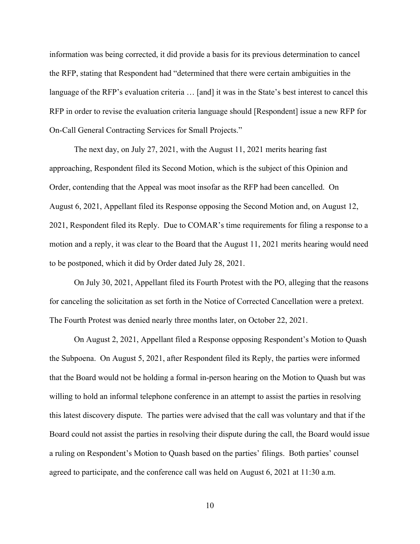information was being corrected, it did provide a basis for its previous determination to cancel the RFP, stating that Respondent had "determined that there were certain ambiguities in the language of the RFP's evaluation criteria ... [and] it was in the State's best interest to cancel this RFP in order to revise the evaluation criteria language should [Respondent] issue a new RFP for On-Call General Contracting Services for Small Projects."

The next day, on July 27, 2021, with the August 11, 2021 merits hearing fast approaching, Respondent filed its Second Motion, which is the subject of this Opinion and Order, contending that the Appeal was moot insofar as the RFP had been cancelled. On August 6, 2021, Appellant filed its Response opposing the Second Motion and, on August 12, 2021, Respondent filed its Reply. Due to COMAR's time requirements for filing a response to a motion and a reply, it was clear to the Board that the August 11, 2021 merits hearing would need to be postponed, which it did by Order dated July 28, 2021.

On July 30, 2021, Appellant filed its Fourth Protest with the PO, alleging that the reasons for canceling the solicitation as set forth in the Notice of Corrected Cancellation were a pretext. The Fourth Protest was denied nearly three months later, on October 22, 2021.

On August 2, 2021, Appellant filed a Response opposing Respondent's Motion to Quash the Subpoena. On August 5, 2021, after Respondent filed its Reply, the parties were informed that the Board would not be holding a formal in-person hearing on the Motion to Quash but was willing to hold an informal telephone conference in an attempt to assist the parties in resolving this latest discovery dispute. The parties were advised that the call was voluntary and that if the Board could not assist the parties in resolving their dispute during the call, the Board would issue a ruling on Respondent's Motion to Quash based on the parties' filings. Both parties' counsel agreed to participate, and the conference call was held on August 6, 2021 at 11:30 a.m.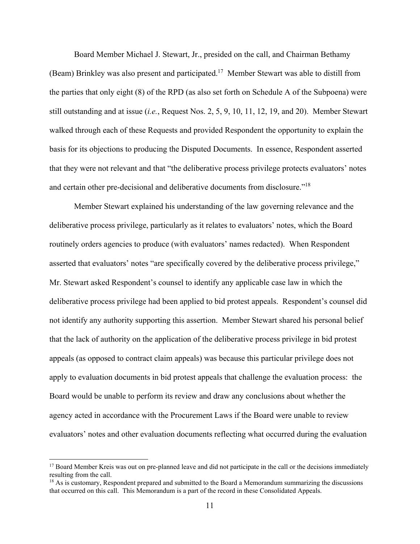Board Member Michael J. Stewart, Jr., presided on the call, and Chairman Bethamy (Beam) Brinkley was also present and participated.<sup>17</sup> Member Stewart was able to distill from the parties that only eight (8) of the RPD (as also set forth on Schedule A of the Subpoena) were still outstanding and at issue (*i.e.*, Request Nos. 2, 5, 9, 10, 11, 12, 19, and 20). Member Stewart walked through each of these Requests and provided Respondent the opportunity to explain the basis for its objections to producing the Disputed Documents. In essence, Respondent asserted that they were not relevant and that "the deliberative process privilege protects evaluators' notes and certain other pre-decisional and deliberative documents from disclosure."18

Member Stewart explained his understanding of the law governing relevance and the deliberative process privilege, particularly as it relates to evaluators' notes, which the Board routinely orders agencies to produce (with evaluators' names redacted). When Respondent asserted that evaluators' notes "are specifically covered by the deliberative process privilege," Mr. Stewart asked Respondent's counsel to identify any applicable case law in which the deliberative process privilege had been applied to bid protest appeals. Respondent's counsel did not identify any authority supporting this assertion. Member Stewart shared his personal belief that the lack of authority on the application of the deliberative process privilege in bid protest appeals (as opposed to contract claim appeals) was because this particular privilege does not apply to evaluation documents in bid protest appeals that challenge the evaluation process: the Board would be unable to perform its review and draw any conclusions about whether the agency acted in accordance with the Procurement Laws if the Board were unable to review evaluators' notes and other evaluation documents reflecting what occurred during the evaluation

<sup>&</sup>lt;sup>17</sup> Board Member Kreis was out on pre-planned leave and did not participate in the call or the decisions immediately resulting from the call.

<sup>&</sup>lt;sup>18</sup> As is customary, Respondent prepared and submitted to the Board a Memorandum summarizing the discussions that occurred on this call. This Memorandum is a part of the record in these Consolidated Appeals.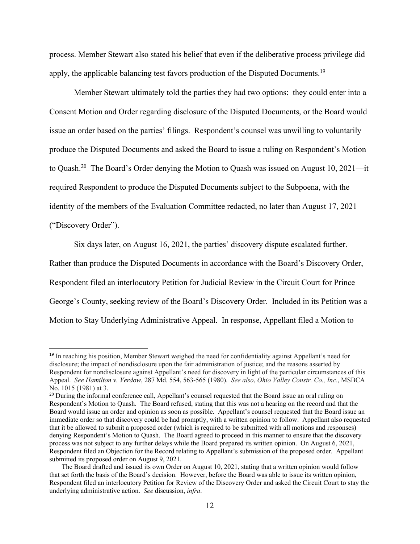process. Member Stewart also stated his belief that even if the deliberative process privilege did apply, the applicable balancing test favors production of the Disputed Documents.<sup>19</sup>

Member Stewart ultimately told the parties they had two options: they could enter into a Consent Motion and Order regarding disclosure of the Disputed Documents, or the Board would issue an order based on the parties' filings. Respondent's counsel was unwilling to voluntarily produce the Disputed Documents and asked the Board to issue a ruling on Respondent's Motion to Quash.<sup>20</sup> The Board's Order denying the Motion to Quash was issued on August 10, 2021—it required Respondent to produce the Disputed Documents subject to the Subpoena, with the identity of the members of the Evaluation Committee redacted, no later than August 17, 2021 ("Discovery Order").

Six days later, on August 16, 2021, the parties' discovery dispute escalated further.

Rather than produce the Disputed Documents in accordance with the Board's Discovery Order, Respondent filed an interlocutory Petition for Judicial Review in the Circuit Court for Prince George's County, seeking review of the Board's Discovery Order. Included in its Petition was a Motion to Stay Underlying Administrative Appeal. In response, Appellant filed a Motion to

<sup>19</sup> In reaching his position, Member Stewart weighed the need for confidentiality against Appellant's need for disclosure; the impact of nondisclosure upon the fair administration of justice; and the reasons asserted by Respondent for nondisclosure against Appellant's need for discovery in light of the particular circumstances of this Appeal. *See Hamilton v. Verdow*, 287 Md. 554, 563-565 (1980). *See also*, *Ohio Valley Constr. Co., Inc.*, MSBCA No. 1015 (1981) at 3.

<sup>&</sup>lt;sup>20</sup> During the informal conference call, Appellant's counsel requested that the Board issue an oral ruling on Respondent's Motion to Quash. The Board refused, stating that this was not a hearing on the record and that the Board would issue an order and opinion as soon as possible. Appellant's counsel requested that the Board issue an immediate order so that discovery could be had promptly, with a written opinion to follow. Appellant also requested that it be allowed to submit a proposed order (which is required to be submitted with all motions and responses) denying Respondent's Motion to Quash. The Board agreed to proceed in this manner to ensure that the discovery process was not subject to any further delays while the Board prepared its written opinion. On August 6, 2021, Respondent filed an Objection for the Record relating to Appellant's submission of the proposed order. Appellant submitted its proposed order on August 9, 2021.

The Board drafted and issued its own Order on August 10, 2021, stating that a written opinion would follow that set forth the basis of the Board's decision. However, before the Board was able to issue its written opinion, Respondent filed an interlocutory Petition for Review of the Discovery Order and asked the Circuit Court to stay the underlying administrative action. *See* discussion, *infra*.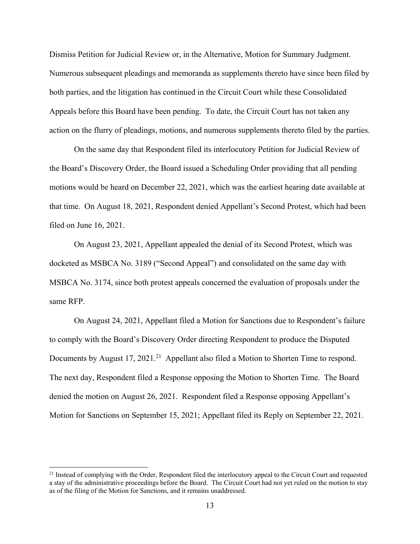Dismiss Petition for Judicial Review or, in the Alternative, Motion for Summary Judgment. Numerous subsequent pleadings and memoranda as supplements thereto have since been filed by both parties, and the litigation has continued in the Circuit Court while these Consolidated Appeals before this Board have been pending. To date, the Circuit Court has not taken any action on the flurry of pleadings, motions, and numerous supplements thereto filed by the parties.

On the same day that Respondent filed its interlocutory Petition for Judicial Review of the Board's Discovery Order, the Board issued a Scheduling Order providing that all pending motions would be heard on December 22, 2021, which was the earliest hearing date available at that time. On August 18, 2021, Respondent denied Appellant's Second Protest, which had been filed on June 16, 2021.

On August 23, 2021, Appellant appealed the denial of its Second Protest, which was docketed as MSBCA No. 3189 ("Second Appeal") and consolidated on the same day with MSBCA No. 3174, since both protest appeals concerned the evaluation of proposals under the same RFP.

On August 24, 2021, Appellant filed a Motion for Sanctions due to Respondent's failure to comply with the Board's Discovery Order directing Respondent to produce the Disputed Documents by August 17, 2021.<sup>21</sup> Appellant also filed a Motion to Shorten Time to respond. The next day, Respondent filed a Response opposing the Motion to Shorten Time. The Board denied the motion on August 26, 2021. Respondent filed a Response opposing Appellant's Motion for Sanctions on September 15, 2021; Appellant filed its Reply on September 22, 2021.

 $21$  Instead of complying with the Order, Respondent filed the interlocutory appeal to the Circuit Court and requested a stay of the administrative proceedings before the Board. The Circuit Court had not yet ruled on the motion to stay as of the filing of the Motion for Sanctions, and it remains unaddressed.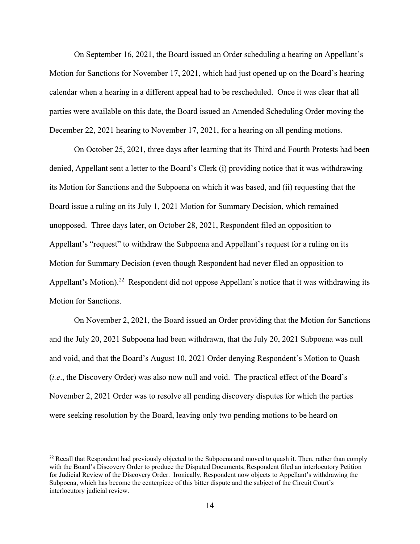On September 16, 2021, the Board issued an Order scheduling a hearing on Appellant's Motion for Sanctions for November 17, 2021, which had just opened up on the Board's hearing calendar when a hearing in a different appeal had to be rescheduled. Once it was clear that all parties were available on this date, the Board issued an Amended Scheduling Order moving the December 22, 2021 hearing to November 17, 2021, for a hearing on all pending motions.

On October 25, 2021, three days after learning that its Third and Fourth Protests had been denied, Appellant sent a letter to the Board's Clerk (i) providing notice that it was withdrawing its Motion for Sanctions and the Subpoena on which it was based, and (ii) requesting that the Board issue a ruling on its July 1, 2021 Motion for Summary Decision, which remained unopposed. Three days later, on October 28, 2021, Respondent filed an opposition to Appellant's "request" to withdraw the Subpoena and Appellant's request for a ruling on its Motion for Summary Decision (even though Respondent had never filed an opposition to Appellant's Motion).<sup>22</sup> Respondent did not oppose Appellant's notice that it was withdrawing its Motion for Sanctions.

On November 2, 2021, the Board issued an Order providing that the Motion for Sanctions and the July 20, 2021 Subpoena had been withdrawn, that the July 20, 2021 Subpoena was null and void, and that the Board's August 10, 2021 Order denying Respondent's Motion to Quash (*i.e*., the Discovery Order) was also now null and void. The practical effect of the Board's November 2, 2021 Order was to resolve all pending discovery disputes for which the parties were seeking resolution by the Board, leaving only two pending motions to be heard on

<sup>&</sup>lt;sup>22</sup> Recall that Respondent had previously objected to the Subpoena and moved to quash it. Then, rather than comply with the Board's Discovery Order to produce the Disputed Documents, Respondent filed an interlocutory Petition for Judicial Review of the Discovery Order. Ironically, Respondent now objects to Appellant's withdrawing the Subpoena, which has become the centerpiece of this bitter dispute and the subject of the Circuit Court's interlocutory judicial review.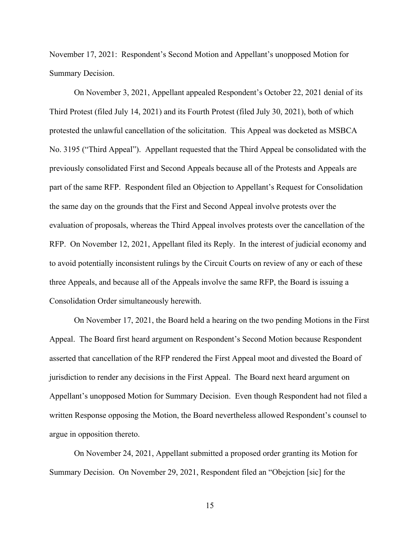November 17, 2021: Respondent's Second Motion and Appellant's unopposed Motion for Summary Decision.

On November 3, 2021, Appellant appealed Respondent's October 22, 2021 denial of its Third Protest (filed July 14, 2021) and its Fourth Protest (filed July 30, 2021), both of which protested the unlawful cancellation of the solicitation. This Appeal was docketed as MSBCA No. 3195 ("Third Appeal"). Appellant requested that the Third Appeal be consolidated with the previously consolidated First and Second Appeals because all of the Protests and Appeals are part of the same RFP. Respondent filed an Objection to Appellant's Request for Consolidation the same day on the grounds that the First and Second Appeal involve protests over the evaluation of proposals, whereas the Third Appeal involves protests over the cancellation of the RFP. On November 12, 2021, Appellant filed its Reply. In the interest of judicial economy and to avoid potentially inconsistent rulings by the Circuit Courts on review of any or each of these three Appeals, and because all of the Appeals involve the same RFP, the Board is issuing a Consolidation Order simultaneously herewith.

On November 17, 2021, the Board held a hearing on the two pending Motions in the First Appeal. The Board first heard argument on Respondent's Second Motion because Respondent asserted that cancellation of the RFP rendered the First Appeal moot and divested the Board of jurisdiction to render any decisions in the First Appeal. The Board next heard argument on Appellant's unopposed Motion for Summary Decision. Even though Respondent had not filed a written Response opposing the Motion, the Board nevertheless allowed Respondent's counsel to argue in opposition thereto.

On November 24, 2021, Appellant submitted a proposed order granting its Motion for Summary Decision. On November 29, 2021, Respondent filed an "Obejction [sic] for the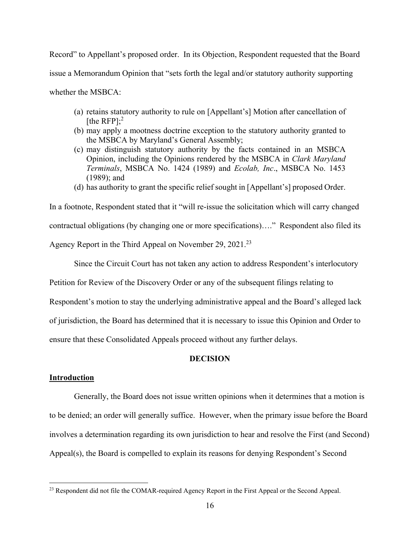Record" to Appellant's proposed order. In its Objection, Respondent requested that the Board issue a Memorandum Opinion that "sets forth the legal and/or statutory authority supporting whether the MSBCA:

- (a) retains statutory authority to rule on [Appellant's] Motion after cancellation of [the RFP]; $^2$
- (b) may apply a mootness doctrine exception to the statutory authority granted to the MSBCA by Maryland's General Assembly;
- (c) may distinguish statutory authority by the facts contained in an MSBCA Opinion, including the Opinions rendered by the MSBCA in *Clark Maryland Terminals*, MSBCA No. 1424 (1989) and *Ecolab, Inc*., MSBCA No. 1453 (1989); and
- (d) has authority to grant the specific relief sought in [Appellant's] proposed Order.

In a footnote, Respondent stated that it "will re-issue the solicitation which will carry changed contractual obligations (by changing one or more specifications)…." Respondent also filed its Agency Report in the Third Appeal on November 29, 2021.<sup>23</sup>

Since the Circuit Court has not taken any action to address Respondent's interlocutory

Petition for Review of the Discovery Order or any of the subsequent filings relating to

Respondent's motion to stay the underlying administrative appeal and the Board's alleged lack

of jurisdiction, the Board has determined that it is necessary to issue this Opinion and Order to

ensure that these Consolidated Appeals proceed without any further delays.

### **DECISION**

### **Introduction**

 Generally, the Board does not issue written opinions when it determines that a motion is to be denied; an order will generally suffice. However, when the primary issue before the Board involves a determination regarding its own jurisdiction to hear and resolve the First (and Second) Appeal(s), the Board is compelled to explain its reasons for denying Respondent's Second

<sup>&</sup>lt;sup>23</sup> Respondent did not file the COMAR-required Agency Report in the First Appeal or the Second Appeal.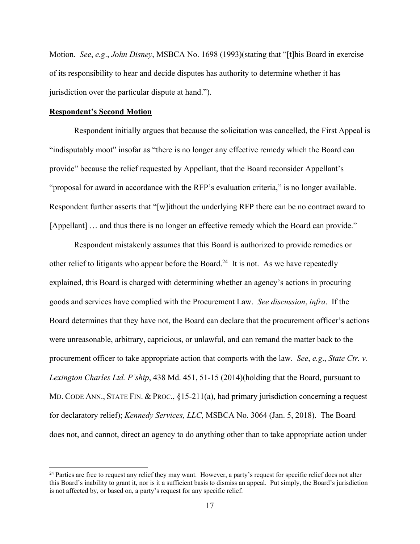Motion. *See*, *e.g*., *John Disney*, MSBCA No. 1698 (1993)(stating that "[t]his Board in exercise of its responsibility to hear and decide disputes has authority to determine whether it has jurisdiction over the particular dispute at hand.").

#### **Respondent's Second Motion**

Respondent initially argues that because the solicitation was cancelled, the First Appeal is "indisputably moot" insofar as "there is no longer any effective remedy which the Board can provide" because the relief requested by Appellant, that the Board reconsider Appellant's "proposal for award in accordance with the RFP's evaluation criteria," is no longer available. Respondent further asserts that "[w]ithout the underlying RFP there can be no contract award to [Appellant] ... and thus there is no longer an effective remedy which the Board can provide."

Respondent mistakenly assumes that this Board is authorized to provide remedies or other relief to litigants who appear before the Board.<sup>24</sup> It is not. As we have repeatedly explained, this Board is charged with determining whether an agency's actions in procuring goods and services have complied with the Procurement Law. *See discussion*, *infra*. If the Board determines that they have not, the Board can declare that the procurement officer's actions were unreasonable, arbitrary, capricious, or unlawful, and can remand the matter back to the procurement officer to take appropriate action that comports with the law. *See*, *e.g*., *State Ctr. v. Lexington Charles Ltd. P'ship*, 438 Md. 451, 51-15 (2014)(holding that the Board, pursuant to MD. CODE ANN., STATE FIN. & PROC., §15-211(a), had primary jurisdiction concerning a request for declaratory relief); *Kennedy Services, LLC*, MSBCA No. 3064 (Jan. 5, 2018). The Board does not, and cannot, direct an agency to do anything other than to take appropriate action under

 $24$  Parties are free to request any relief they may want. However, a party's request for specific relief does not alter this Board's inability to grant it, nor is it a sufficient basis to dismiss an appeal. Put simply, the Board's jurisdiction is not affected by, or based on, a party's request for any specific relief.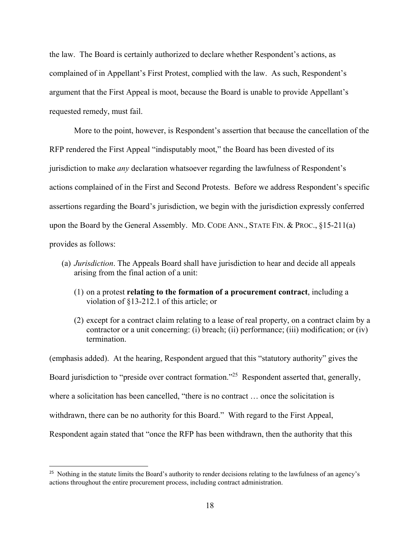the law. The Board is certainly authorized to declare whether Respondent's actions, as complained of in Appellant's First Protest, complied with the law. As such, Respondent's argument that the First Appeal is moot, because the Board is unable to provide Appellant's requested remedy, must fail.

More to the point, however, is Respondent's assertion that because the cancellation of the RFP rendered the First Appeal "indisputably moot," the Board has been divested of its jurisdiction to make *any* declaration whatsoever regarding the lawfulness of Respondent's actions complained of in the First and Second Protests. Before we address Respondent's specific assertions regarding the Board's jurisdiction, we begin with the jurisdiction expressly conferred upon the Board by the General Assembly. MD. CODE ANN., STATE FIN. & PROC., §15-211(a) provides as follows:

- (a) *Jurisdiction*. The Appeals Board shall have jurisdiction to hear and decide all appeals arising from the final action of a unit:
	- (1) on a protest **relating to the formation of a procurement contract**, including a violation of §13-212.1 of this article; or
	- (2) except for a contract claim relating to a lease of real property, on a contract claim by a contractor or a unit concerning: (i) breach; (ii) performance; (iii) modification; or (iv) termination.

(emphasis added). At the hearing, Respondent argued that this "statutory authority" gives the Board jurisdiction to "preside over contract formation."<sup>25</sup> Respondent asserted that, generally, where a solicitation has been cancelled, "there is no contract … once the solicitation is withdrawn, there can be no authority for this Board." With regard to the First Appeal, Respondent again stated that "once the RFP has been withdrawn, then the authority that this

<sup>&</sup>lt;sup>25</sup> Nothing in the statute limits the Board's authority to render decisions relating to the lawfulness of an agency's actions throughout the entire procurement process, including contract administration.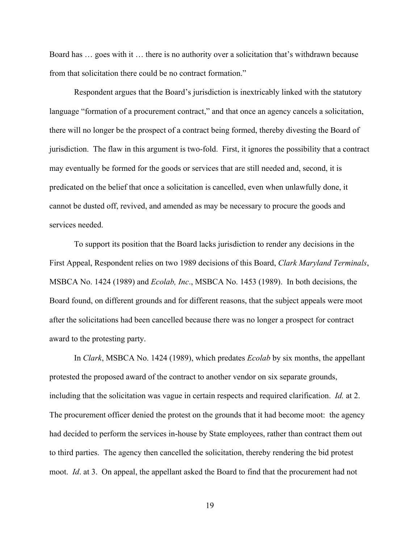Board has … goes with it … there is no authority over a solicitation that's withdrawn because from that solicitation there could be no contract formation."

Respondent argues that the Board's jurisdiction is inextricably linked with the statutory language "formation of a procurement contract," and that once an agency cancels a solicitation, there will no longer be the prospect of a contract being formed, thereby divesting the Board of jurisdiction. The flaw in this argument is two-fold. First, it ignores the possibility that a contract may eventually be formed for the goods or services that are still needed and, second, it is predicated on the belief that once a solicitation is cancelled, even when unlawfully done, it cannot be dusted off, revived, and amended as may be necessary to procure the goods and services needed.

To support its position that the Board lacks jurisdiction to render any decisions in the First Appeal, Respondent relies on two 1989 decisions of this Board, *Clark Maryland Terminals*, MSBCA No. 1424 (1989) and *Ecolab, Inc*., MSBCA No. 1453 (1989). In both decisions, the Board found, on different grounds and for different reasons, that the subject appeals were moot after the solicitations had been cancelled because there was no longer a prospect for contract award to the protesting party.

In *Clark*, MSBCA No. 1424 (1989), which predates *Ecolab* by six months, the appellant protested the proposed award of the contract to another vendor on six separate grounds, including that the solicitation was vague in certain respects and required clarification. *Id.* at 2. The procurement officer denied the protest on the grounds that it had become moot: the agency had decided to perform the services in-house by State employees, rather than contract them out to third parties. The agency then cancelled the solicitation, thereby rendering the bid protest moot. *Id*. at 3. On appeal, the appellant asked the Board to find that the procurement had not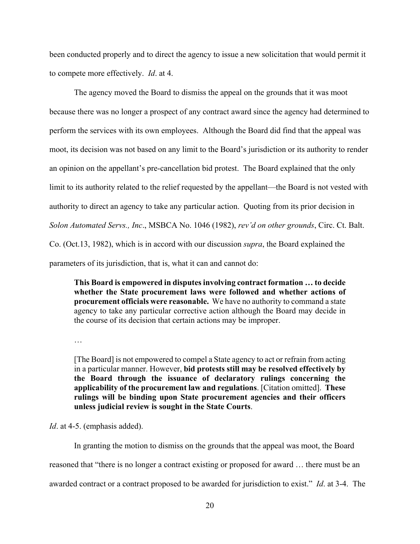been conducted properly and to direct the agency to issue a new solicitation that would permit it to compete more effectively. *Id*. at 4.

The agency moved the Board to dismiss the appeal on the grounds that it was moot because there was no longer a prospect of any contract award since the agency had determined to perform the services with its own employees. Although the Board did find that the appeal was moot, its decision was not based on any limit to the Board's jurisdiction or its authority to render an opinion on the appellant's pre-cancellation bid protest. The Board explained that the only limit to its authority related to the relief requested by the appellant—the Board is not vested with authority to direct an agency to take any particular action. Quoting from its prior decision in *Solon Automated Servs., Inc*., MSBCA No. 1046 (1982), *rev'd on other grounds*, Circ. Ct. Balt. Co. (Oct.13, 1982), which is in accord with our discussion *supra*, the Board explained the parameters of its jurisdiction, that is, what it can and cannot do:

**This Board is empowered in disputes involving contract formation … to decide whether the State procurement laws were followed and whether actions of procurement officials were reasonable.** We have no authority to command a state agency to take any particular corrective action although the Board may decide in the course of its decision that certain actions may be improper.

…

[The Board] is not empowered to compel a State agency to act or refrain from acting in a particular manner. However, **bid protests still may be resolved effectively by the Board through the issuance of declaratory rulings concerning the applicability of the procurement law and regulations**. [Citation omitted]. **These rulings will be binding upon State procurement agencies and their officers unless judicial review is sought in the State Courts**.

*Id*. at 4-5. (emphasis added).

In granting the motion to dismiss on the grounds that the appeal was moot, the Board

reasoned that "there is no longer a contract existing or proposed for award … there must be an

awarded contract or a contract proposed to be awarded for jurisdiction to exist." *Id*. at 3-4. The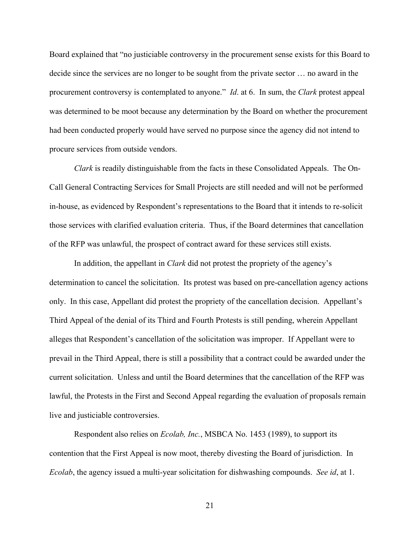Board explained that "no justiciable controversy in the procurement sense exists for this Board to decide since the services are no longer to be sought from the private sector … no award in the procurement controversy is contemplated to anyone." *Id*. at 6. In sum, the *Clark* protest appeal was determined to be moot because any determination by the Board on whether the procurement had been conducted properly would have served no purpose since the agency did not intend to procure services from outside vendors.

*Clark* is readily distinguishable from the facts in these Consolidated Appeals. The On-Call General Contracting Services for Small Projects are still needed and will not be performed in-house, as evidenced by Respondent's representations to the Board that it intends to re-solicit those services with clarified evaluation criteria. Thus, if the Board determines that cancellation of the RFP was unlawful, the prospect of contract award for these services still exists.

In addition, the appellant in *Clark* did not protest the propriety of the agency's determination to cancel the solicitation. Its protest was based on pre-cancellation agency actions only. In this case, Appellant did protest the propriety of the cancellation decision. Appellant's Third Appeal of the denial of its Third and Fourth Protests is still pending, wherein Appellant alleges that Respondent's cancellation of the solicitation was improper. If Appellant were to prevail in the Third Appeal, there is still a possibility that a contract could be awarded under the current solicitation. Unless and until the Board determines that the cancellation of the RFP was lawful, the Protests in the First and Second Appeal regarding the evaluation of proposals remain live and justiciable controversies.

Respondent also relies on *Ecolab, Inc.*, MSBCA No. 1453 (1989), to support its contention that the First Appeal is now moot, thereby divesting the Board of jurisdiction. In *Ecolab*, the agency issued a multi-year solicitation for dishwashing compounds. *See id*, at 1.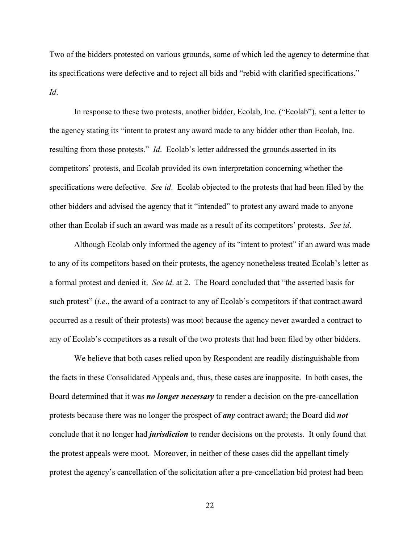Two of the bidders protested on various grounds, some of which led the agency to determine that its specifications were defective and to reject all bids and "rebid with clarified specifications." *Id*.

In response to these two protests, another bidder, Ecolab, Inc. ("Ecolab"), sent a letter to the agency stating its "intent to protest any award made to any bidder other than Ecolab, Inc. resulting from those protests." *Id*. Ecolab's letter addressed the grounds asserted in its competitors' protests, and Ecolab provided its own interpretation concerning whether the specifications were defective. *See id*. Ecolab objected to the protests that had been filed by the other bidders and advised the agency that it "intended" to protest any award made to anyone other than Ecolab if such an award was made as a result of its competitors' protests. *See id*.

Although Ecolab only informed the agency of its "intent to protest" if an award was made to any of its competitors based on their protests, the agency nonetheless treated Ecolab's letter as a formal protest and denied it. *See id*. at 2. The Board concluded that "the asserted basis for such protest" (*i.e*., the award of a contract to any of Ecolab's competitors if that contract award occurred as a result of their protests) was moot because the agency never awarded a contract to any of Ecolab's competitors as a result of the two protests that had been filed by other bidders.

We believe that both cases relied upon by Respondent are readily distinguishable from the facts in these Consolidated Appeals and, thus, these cases are inapposite. In both cases, the Board determined that it was *no longer necessary* to render a decision on the pre-cancellation protests because there was no longer the prospect of *any* contract award; the Board did *not* conclude that it no longer had *jurisdiction* to render decisions on the protests. It only found that the protest appeals were moot. Moreover, in neither of these cases did the appellant timely protest the agency's cancellation of the solicitation after a pre-cancellation bid protest had been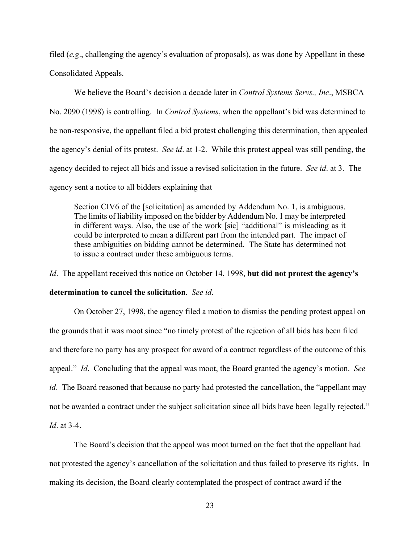filed (*e.g*., challenging the agency's evaluation of proposals), as was done by Appellant in these Consolidated Appeals.

We believe the Board's decision a decade later in *Control Systems Servs., Inc*., MSBCA No. 2090 (1998) is controlling. In *Control Systems*, when the appellant's bid was determined to be non-responsive, the appellant filed a bid protest challenging this determination, then appealed the agency's denial of its protest. *See id*. at 1-2. While this protest appeal was still pending, the agency decided to reject all bids and issue a revised solicitation in the future. *See id*. at 3. The agency sent a notice to all bidders explaining that

Section CIV6 of the [solicitation] as amended by Addendum No. 1, is ambiguous. The limits of liability imposed on the bidder by Addendum No. 1 may be interpreted in different ways. Also, the use of the work [sic] "additional" is misleading as it could be interpreted to mean a different part from the intended part. The impact of these ambiguities on bidding cannot be determined. The State has determined not to issue a contract under these ambiguous terms.

*Id*. The appellant received this notice on October 14, 1998, **but did not protest the agency's** 

#### **determination to cancel the solicitation**. *See id*.

On October 27, 1998, the agency filed a motion to dismiss the pending protest appeal on the grounds that it was moot since "no timely protest of the rejection of all bids has been filed and therefore no party has any prospect for award of a contract regardless of the outcome of this appeal." *Id*. Concluding that the appeal was moot, the Board granted the agency's motion. *See id*. The Board reasoned that because no party had protested the cancellation, the "appellant may not be awarded a contract under the subject solicitation since all bids have been legally rejected." *Id*. at 3-4.

The Board's decision that the appeal was moot turned on the fact that the appellant had not protested the agency's cancellation of the solicitation and thus failed to preserve its rights. In making its decision, the Board clearly contemplated the prospect of contract award if the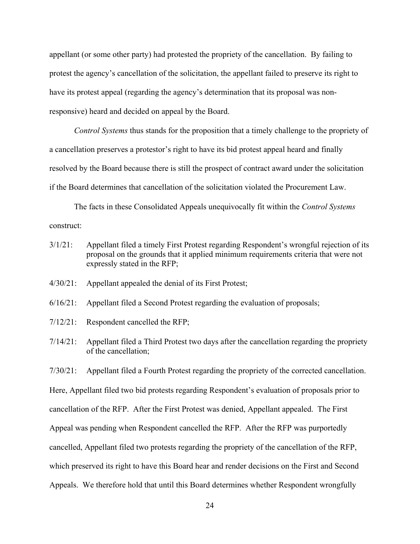appellant (or some other party) had protested the propriety of the cancellation. By failing to protest the agency's cancellation of the solicitation, the appellant failed to preserve its right to have its protest appeal (regarding the agency's determination that its proposal was nonresponsive) heard and decided on appeal by the Board.

*Control Systems* thus stands for the proposition that a timely challenge to the propriety of a cancellation preserves a protestor's right to have its bid protest appeal heard and finally resolved by the Board because there is still the prospect of contract award under the solicitation if the Board determines that cancellation of the solicitation violated the Procurement Law.

The facts in these Consolidated Appeals unequivocally fit within the *Control Systems* construct:

- 3/1/21: Appellant filed a timely First Protest regarding Respondent's wrongful rejection of its proposal on the grounds that it applied minimum requirements criteria that were not expressly stated in the RFP;
- 4/30/21: Appellant appealed the denial of its First Protest;
- 6/16/21: Appellant filed a Second Protest regarding the evaluation of proposals;
- 7/12/21: Respondent cancelled the RFP;
- 7/14/21: Appellant filed a Third Protest two days after the cancellation regarding the propriety of the cancellation;

7/30/21: Appellant filed a Fourth Protest regarding the propriety of the corrected cancellation.

Here, Appellant filed two bid protests regarding Respondent's evaluation of proposals prior to

cancellation of the RFP. After the First Protest was denied, Appellant appealed. The First

Appeal was pending when Respondent cancelled the RFP. After the RFP was purportedly

cancelled, Appellant filed two protests regarding the propriety of the cancellation of the RFP,

which preserved its right to have this Board hear and render decisions on the First and Second

Appeals. We therefore hold that until this Board determines whether Respondent wrongfully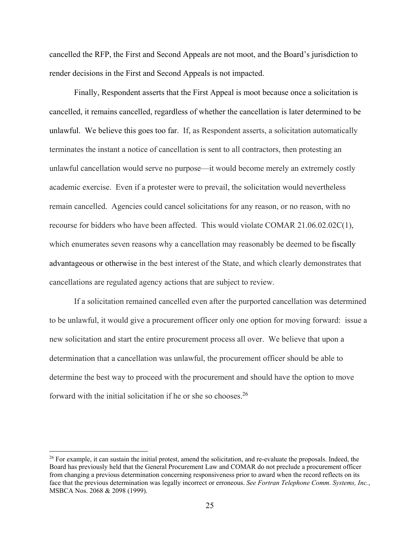cancelled the RFP, the First and Second Appeals are not moot, and the Board's jurisdiction to render decisions in the First and Second Appeals is not impacted.

Finally, Respondent asserts that the First Appeal is moot because once a solicitation is cancelled, it remains cancelled, regardless of whether the cancellation is later determined to be unlawful. We believe this goes too far. If, as Respondent asserts, a solicitation automatically terminates the instant a notice of cancellation is sent to all contractors, then protesting an unlawful cancellation would serve no purpose—it would become merely an extremely costly academic exercise. Even if a protester were to prevail, the solicitation would nevertheless remain cancelled. Agencies could cancel solicitations for any reason, or no reason, with no recourse for bidders who have been affected. This would violate COMAR 21.06.02.02C(1), which enumerates seven reasons why a cancellation may reasonably be deemed to be fiscally advantageous or otherwise in the best interest of the State, and which clearly demonstrates that cancellations are regulated agency actions that are subject to review.

If a solicitation remained cancelled even after the purported cancellation was determined to be unlawful, it would give a procurement officer only one option for moving forward: issue a new solicitation and start the entire procurement process all over. We believe that upon a determination that a cancellation was unlawful, the procurement officer should be able to determine the best way to proceed with the procurement and should have the option to move forward with the initial solicitation if he or she so chooses.<sup>26</sup>

<sup>&</sup>lt;sup>26</sup> For example, it can sustain the initial protest, amend the solicitation, and re-evaluate the proposals. Indeed, the Board has previously held that the General Procurement Law and COMAR do not preclude a procurement officer from changing a previous determination concerning responsiveness prior to award when the record reflects on its face that the previous determination was legally incorrect or erroneous. *See Fortran Telephone Comm. Systems, Inc.*, MSBCA Nos. 2068 & 2098 (1999).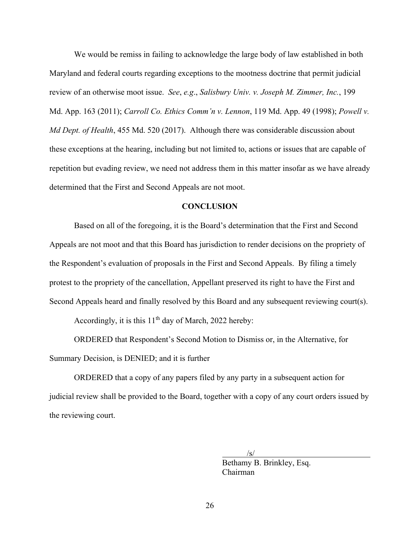We would be remiss in failing to acknowledge the large body of law established in both Maryland and federal courts regarding exceptions to the mootness doctrine that permit judicial review of an otherwise moot issue. *See*, *e.g*., *Salisbury Univ. v. Joseph M. Zimmer, Inc.*, 199 Md. App. 163 (2011); *Carroll Co. Ethics Comm'n v. Lennon*, 119 Md. App. 49 (1998); *Powell v. Md Dept. of Health*, 455 Md. 520 (2017). Although there was considerable discussion about these exceptions at the hearing, including but not limited to, actions or issues that are capable of repetition but evading review, we need not address them in this matter insofar as we have already determined that the First and Second Appeals are not moot.

#### **CONCLUSION**

 Based on all of the foregoing, it is the Board's determination that the First and Second Appeals are not moot and that this Board has jurisdiction to render decisions on the propriety of the Respondent's evaluation of proposals in the First and Second Appeals. By filing a timely protest to the propriety of the cancellation, Appellant preserved its right to have the First and Second Appeals heard and finally resolved by this Board and any subsequent reviewing court(s).

Accordingly, it is this  $11<sup>th</sup>$  day of March, 2022 hereby:

ORDERED that Respondent's Second Motion to Dismiss or, in the Alternative, for Summary Decision, is DENIED; and it is further

ORDERED that a copy of any papers filed by any party in a subsequent action for judicial review shall be provided to the Board, together with a copy of any court orders issued by the reviewing court.

 $\sqrt{s}$ /s/

 Bethamy B. Brinkley, Esq. Chairman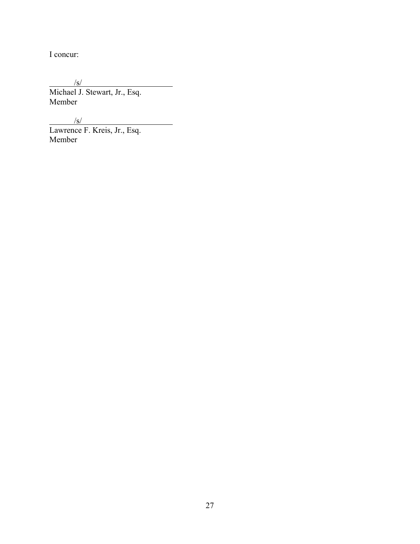I concur:

 $/$ s/ Michael J. Stewart, Jr., Esq. Member

 $/$ s/

Lawrence F. Kreis, Jr., Esq. Member